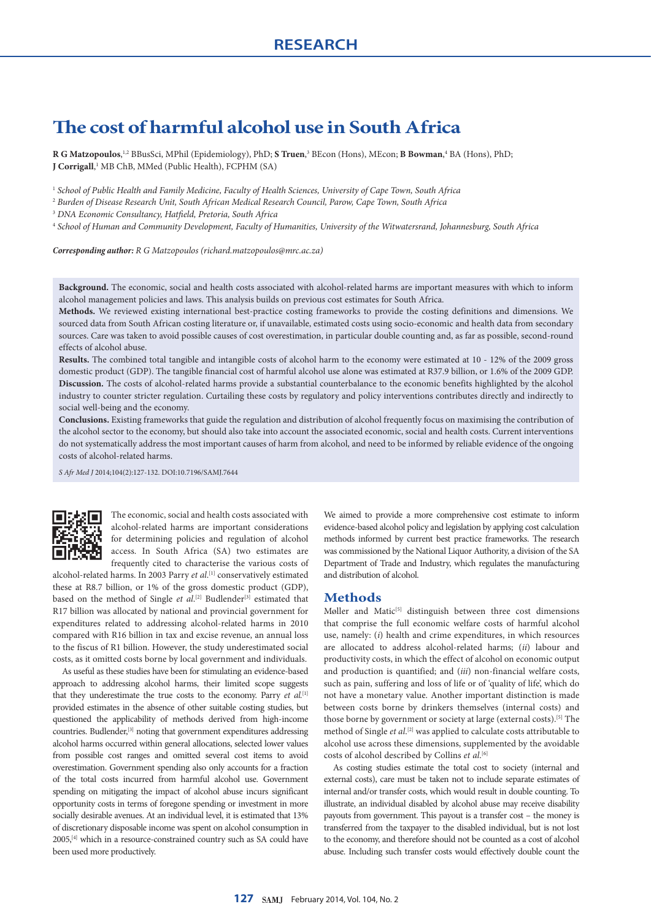# **The cost of harmful alcohol use in South Africa**

**R G Matzopoulos**, <sup>1,2</sup> BBusSci, MPhil (Epidemiology), PhD; **S Truen**, <sup>3</sup> BEcon (Hons), MEcon; **B Bowman**, <sup>4</sup> BA (Hons), PhD; **J Corrigall**,<sup>1</sup> MB ChB, MMed (Public Health), FCPHM (SA)

<sup>1</sup> *School of Public Health and Family Medicine, Faculty of Health Sciences, University of Cape Town, South Africa*

<sup>2</sup> *Burden of Disease Research Unit, South African Medical Research Council, Parow, Cape Town, South Africa*

<sup>3</sup> *DNA Economic Consultancy, Hatfield, Pretoria, South Africa*

<sup>4</sup> *School of Human and Community Development, Faculty of Humanities, University of the Witwatersrand, Johannesburg, South Africa*

*Corresponding author: R G Matzopoulos [\(richard.matzopoulos@mrc.ac.za\)](mailto:richard.matzopoulos@mrc.ac.za)*

**Background.** The economic, social and health costs associated with alcohol-related harms are important measures with which to inform alcohol management policies and laws. This analysis builds on previous cost estimates for South Africa.

**Methods.** We reviewed existing international best-practice costing frameworks to provide the costing definitions and dimensions. We sourced data from South African costing literature or, if unavailable, estimated costs using socio-economic and health data from secondary sources. Care was taken to avoid possible causes of cost overestimation, in particular double counting and, as far as possible, second-round effects of alcohol abuse.

**Results.** The combined total tangible and intangible costs of alcohol harm to the economy were estimated at 10 - 12% of the 2009 gross domestic product (GDP). The tangible financial cost of harmful alcohol use alone was estimated at R37.9 billion, or 1.6% of the 2009 GDP. **Discussion.** The costs of alcohol-related harms provide a substantial counterbalance to the economic benefits highlighted by the alcohol industry to counter stricter regulation. Curtailing these costs by regulatory and policy interventions contributes directly and indirectly to social well-being and the economy.

**Conclusions.** Existing frameworks that guide the regulation and distribution of alcohol frequently focus on maximising the contribution of the alcohol sector to the economy, but should also take into account the associated economic, social and health costs. Current interventions do not systematically address the most important causes of harm from alcohol, and need to be informed by reliable evidence of the ongoing costs of alcohol-related harms.

*S Afr Med J* 2014;104(2):127-132. DOI:10.7196/SAMJ.7644



The economic, social and health costs associated with alcohol-related harms are important considerations for determining policies and regulation of alcohol access. In South Africa (SA) two estimates are frequently cited to characterise the various costs of

alcohol-related harms. In 2003 Parry *et al*. [1] conservatively estimated these at R8.7 billion, or 1% of the gross domestic product (GDP), based on the method of Single *et al*.<sup>[2]</sup> Budlender<sup>[3]</sup> estimated that R17 billion was allocated by national and provincial government for expenditures related to addressing alcohol-related harms in 2010 compared with R16 billion in tax and excise revenue, an annual loss to the fiscus of R1 billion. However, the study underestimated social costs, as it omitted costs borne by local government and individuals.

As useful as these studies have been for stimulating an evidence-based approach to addressing alcohol harms, their limited scope suggests that they underestimate the true costs to the economy. Parry *et al.*[1] provided estimates in the absence of other suitable costing studies, but questioned the applicability of methods derived from high-income countries. Budlender,<sup>[3]</sup> noting that government expenditures addressing alcohol harms occurred within general allocations, selected lower values from possible cost ranges and omitted several cost items to avoid overestimation. Government spending also only accounts for a fraction of the total costs incurred from harmful alcohol use. Government spending on mitigating the impact of alcohol abuse incurs significant opportunity costs in terms of foregone spending or investment in more socially desirable avenues. At an individual level, it is estimated that 13% of discretionary disposable income was spent on alcohol consumption in 2005,<sup>[4]</sup> which in a resource-constrained country such as SA could have been used more productively.

We aimed to provide a more comprehensive cost estimate to inform evidence-based alcohol policy and legislation by applying cost calculation methods informed by current best practice frameworks. The research was commissioned by the National Liquor Authority, a division of the SA Department of Trade and Industry, which regulates the manufacturing and distribution of alcohol.

# **Methods**

Møller and Matic $[5]$  distinguish between three cost dimensions that comprise the full economic welfare costs of harmful alcohol use, namely: (*i*) health and crime expenditures, in which resources are allocated to address alcohol-related harms; (*ii*) labour and productivity costs, in which the effect of alcohol on economic output and production is quantified; and (*iii*) non-financial welfare costs, such as pain, suffering and loss of life or of 'quality of life', which do not have a monetary value. Another important distinction is made between costs borne by drinkers themselves (internal costs) and those borne by government or society at large (external costs).<sup>[5]</sup> The method of Single et al.<sup>[2]</sup> was applied to calculate costs attributable to alcohol use across these dimensions, supplemented by the avoidable costs of alcohol described by Collins *et al*. [6]

As costing studies estimate the total cost to society (internal and external costs), care must be taken not to include separate estimates of internal and/or transfer costs, which would result in double counting. To illustrate, an individual disabled by alcohol abuse may receive disability payouts from government. This payout is a transfer cost – the money is transferred from the taxpayer to the disabled individual, but is not lost to the economy, and therefore should not be counted as a cost of alcohol abuse. Including such transfer costs would effectively double count the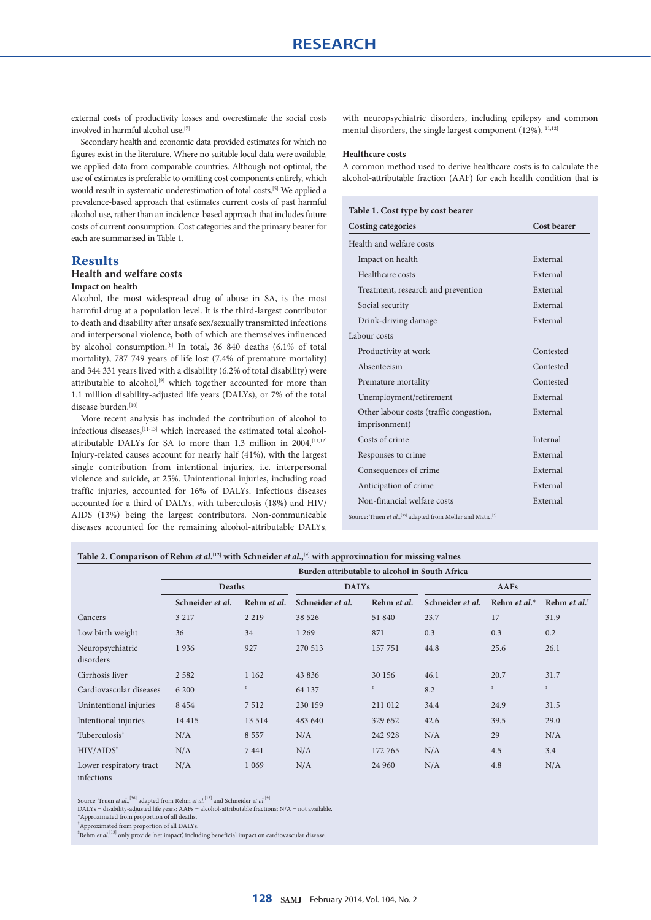external costs of productivity losses and overestimate the social costs involved in harmful alcohol use.<sup>[7]</sup>

Secondary health and economic data provided estimates for which no figures exist in the literature. Where no suitable local data were available, we applied data from comparable countries. Although not optimal, the use of estimates is preferable to omitting cost components entirely, which would result in systematic underestimation of total costs.[5] We applied a prevalence-based approach that estimates current costs of past harmful alcohol use, rather than an incidence-based approach that includes future costs of current consumption. Cost categories and the primary bearer for each are summarised in Table 1.

# **Results**

# **Health and welfare costs**

# **Impact on health**

Alcohol, the most widespread drug of abuse in SA, is the most harmful drug at a population level. It is the third-largest contributor to death and disability after unsafe sex/sexually transmitted infections and interpersonal violence, both of which are themselves influenced by alcohol consumption.[8] In total, 36 840 deaths (6.1% of total mortality), 787 749 years of life lost (7.4% of premature mortality) and 344 331 years lived with a disability (6.2% of total disability) were attributable to alcohol,<sup>[9]</sup> which together accounted for more than 1.1 million disability-adjusted life years (DALYs), or 7% of the total disease burden.[10]

More recent analysis has included the contribution of alcohol to infectious diseases,[11-13] which increased the estimated total alcoholattributable DALYs for SA to more than 1.3 million in 2004.<sup>[11,12]</sup> Injury-related causes account for nearly half (41%), with the largest single contribution from intentional injuries, i.e. interpersonal violence and suicide, at 25%. Unintentional injuries, including road traffic injuries, accounted for 16% of DALYs. Infectious diseases accounted for a third of DALYs, with tuberculosis (18%) and HIV/ AIDS (13%) being the largest contributors. Non-communicable diseases accounted for the remaining alcohol-attributable DALYs,

with neuropsychiatric disorders, including epilepsy and common mental disorders, the single largest component (12%).<sup>[11,12]</sup>

#### **Healthcare costs**

A common method used to derive healthcare costs is to calculate the alcohol-attributable fraction (AAF) for each health condition that is

| <b>Costing categories</b>                                    | Cost bearer |
|--------------------------------------------------------------|-------------|
| Health and welfare costs                                     |             |
| Impact on health                                             | External    |
| Healthcare costs                                             | External    |
| Treatment, research and prevention                           | External    |
| Social security                                              | External    |
| Drink-driving damage                                         | External    |
| Labour costs                                                 |             |
| Productivity at work                                         | Contested   |
| Absenteeism                                                  | Contested   |
| Premature mortality                                          | Contested   |
| Unemployment/retirement                                      | External    |
| Other labour costs (traffic congestion,<br>imprisonment)     | External    |
| Costs of crime                                               | Internal    |
| Responses to crime                                           | External    |
| Consequences of crime                                        | External    |
| Anticipation of crime                                        | External    |
| Non-financial welfare costs                                  | External    |
| Source: Truen et al., [36] adapted from Møller and Matic.[5] |             |

#### **Table 2. Comparison of Rehm** *et al***. [12] with Schneider** *et al***.,[9] with approximation for missing values**

|                                       | Burden attributable to alcohol in South Africa |               |                  |             |                  |                    |                                                    |  |
|---------------------------------------|------------------------------------------------|---------------|------------------|-------------|------------------|--------------------|----------------------------------------------------|--|
|                                       | Deaths                                         |               | <b>DALYs</b>     |             | AAFs             |                    |                                                    |  |
|                                       | Schneider et al.                               | Rehm et al.   | Schneider et al. | Rehm et al. | Schneider et al. | Rehm et al. $*$    | Rehm <i>et al.</i> <sup><math>\dagger</math></sup> |  |
| Cancers                               | 3 2 1 7                                        | 2 2 1 9       | 38 5 26          | 51 840      | 23.7             | 17                 | 31.9                                               |  |
| Low birth weight                      | 36                                             | 34            | 1 2 6 9          | 871         | 0.3              | 0.3                | 0.2                                                |  |
| Neuropsychiatric<br>disorders         | 1936                                           | 927           | 270 513          | 157 751     | 44.8             | 25.6               | 26.1                                               |  |
| Cirrhosis liver                       | 2 5 8 2                                        | 1 1 6 2       | 43 8 36          | 30 156      | 46.1             | 20.7               | 31.7                                               |  |
| Cardiovascular diseases               | 6 200                                          | $\frac{z}{2}$ | 64 137           | $\ddagger$  | 8.2              | $\ddot{\hat{\pi}}$ | $\ddagger$                                         |  |
| Unintentional injuries                | 8 4 5 4                                        | 7512          | 230 159          | 211 012     | 34.4             | 24.9               | 31.5                                               |  |
| Intentional injuries                  | 14 4 15                                        | 13 5 14       | 483 640          | 329 652     | 42.6             | 39.5               | 29.0                                               |  |
| Tuberculosis <sup>*</sup>             | N/A                                            | 8 5 5 7       | N/A              | 242 928     | N/A              | 29                 | N/A                                                |  |
| $HIV/AIDS^*$                          | N/A                                            | 7441          | N/A              | 172 765     | N/A              | 4.5                | 3.4                                                |  |
| Lower respiratory tract<br>infections | N/A                                            | 1 0 6 9       | N/A              | 24 960      | N/A              | 4.8                | N/A                                                |  |

Source: Truen *et al.*,<sup>[36]</sup> adapted from Rehm *et al.*<sup>[13]</sup> and Schneider *et al.*<sup>[9]</sup>

DALYs = disability-adjusted life years; AAFs = alcohol-attributable fractions; N/A = not available.

\*Approximated from proportion of all deaths.

† Approximated from proportion of all DALYs.

‡ Rehm *et al*. [13] only provide 'net impact', including beneficial impact on cardiovascular disease.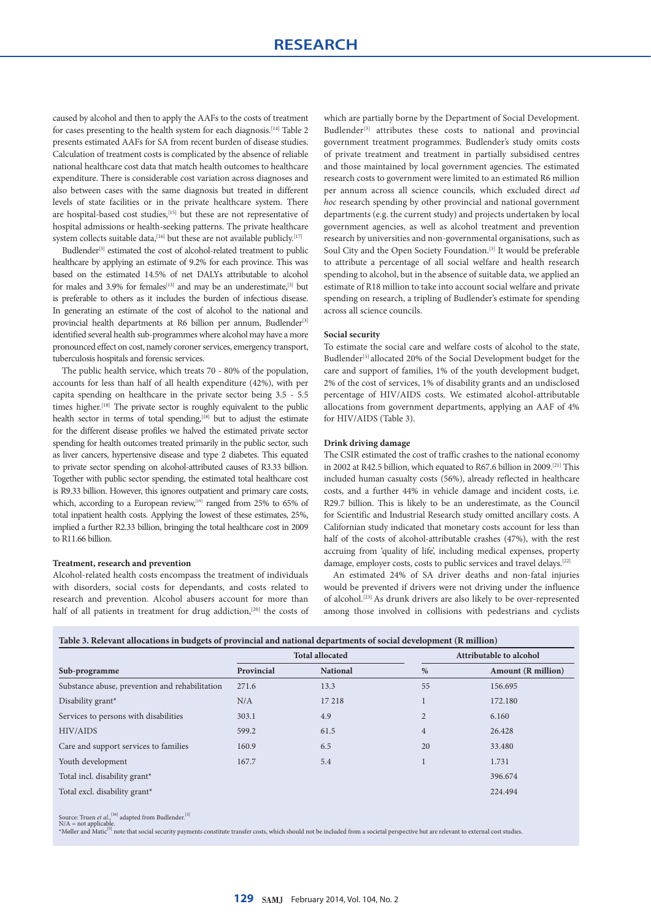caused by alcohol and then to apply the AAFs to the costs of treatment for cases presenting to the health system for each diagnosis.<sup>[14]</sup> Table 2 presents estimated AAFs for SA from recent burden of disease studies. Calculation of treatment costs is complicated by the absence of reliable national healthcare cost data that match health outcomes to healthcare expenditure. There is considerable cost variation across diagnoses and also between cases with the same diagnosis but treated in different levels of state facilities or in the private healthcare system. There are hospital-based cost studies,[15] but these are not representative of hospital admissions or health-seeking patterns. The private healthcare system collects suitable data,  $[16]$  but these are not available publicly.  $[17]$ 

Budlender<sup>[3]</sup> estimated the cost of alcohol-related treatment to public healthcare by applying an estimate of 9.2% for each province. This was based on the estimated 14.5% of net DALYs attributable to alcohol for males and 3.9% for females<sup>[13]</sup> and may be an underestimate,<sup>[3]</sup> but is preferable to others as it includes the burden of infectious disease. In generating an estimate of the cost of alcohol to the national and provincial health departments at R6 billion per annum, Budlender<sup>[3]</sup> identified several health sub-programmes where alcohol may have a more pronounced effect on cost, namely coroner services, emergency transport, tuberculosis hospitals and forensic services.

The public health service, which treats 70 - 80% of the population, accounts for less than half of all health expenditure (42%), with per capita spending on healthcare in the private sector being 3.5 - 5.5 times higher.<sup>[18]</sup> The private sector is roughly equivalent to the public health sector in terms of total spending,<sup>[18]</sup> but to adjust the estimate for the different disease profiles we halved the estimated private sector spending for health outcomes treated primarily in the public sector, such as liver cancers, hypertensive disease and type 2 diabetes. This equated to private sector spending on alcohol-attributed causes of R3.33 billion. Together with public sector spending, the estimated total healthcare cost is R9.33 billion. However, this ignores outpatient and primary care costs, which, according to a European review,<sup>[19]</sup> ranged from 25% to 65% of total inpatient health costs. Applying the lowest of these estimates, 25%, implied a further R2.33 billion, bringing the total healthcare cost in 2009 to R11.66 billion.

#### **Treatment, research and prevention**

Alcohol-related health costs encompass the treatment of individuals with disorders, social costs for dependants, and costs related to research and prevention. Alcohol abusers account for more than half of all patients in treatment for drug addiction,<sup>[20]</sup> the costs of which are partially borne by the Department of Social Development. Budlender<sup>[3]</sup> attributes these costs to national and provincial government treatment programmes. Budlender's study omits costs of private treatment and treatment in partially subsidised centres and those maintained by local government agencies. The estimated research costs to government were limited to an estimated R6 million per annum across all science councils, which excluded direct *ad hoc* research spending by other provincial and national government departments (e.g. the current study) and projects undertaken by local government agencies, as well as alcohol treatment and prevention research by universities and non-governmental organisations, such as Soul City and the Open Society Foundation.<sup>[3]</sup> It would be preferable to attribute a percentage of all social welfare and health research spending to alcohol, but in the absence of suitable data, we applied an estimate of R18 million to take into account social welfare and private spending on research, a tripling of Budlender's estimate for spending across all science councils.

## **Social security**

To estimate the social care and welfare costs of alcohol to the state, Budlender<sup>[3]</sup> allocated 20% of the Social Development budget for the care and support of families, 1% of the youth development budget, 2% of the cost of services, 1% of disability grants and an undisclosed percentage of HIV/AIDS costs. We estimated alcohol-attributable allocations from government departments, applying an AAF of 4% for HIV/AIDS (Table 3).

#### **Drink driving damage**

The CSIR estimated the cost of traffic crashes to the national economy in 2002 at R42.5 billion, which equated to R67.6 billion in 2009.[21] This included human casualty costs (56%), already reflected in healthcare costs, and a further 44% in vehicle damage and incident costs, i.e. R29.7 billion. This is likely to be an underestimate, as the Council for Scientific and Industrial Research study omitted ancillary costs. A Californian study indicated that monetary costs account for less than half of the costs of alcohol-attributable crashes (47%), with the rest accruing from 'quality of life', including medical expenses, property damage, employer costs, costs to public services and travel delays.[22]

An estimated 24% of SA driver deaths and non-fatal injuries would be prevented if drivers were not driving under the influence of alcohol.[23] As drunk drivers are also likely to be over-represented among those involved in collisions with pedestrians and cyclists

| Table 3. Relevant allocations in budgets of provincial and national departments of social development (R million) |  |  |  |  |  |  |  |
|-------------------------------------------------------------------------------------------------------------------|--|--|--|--|--|--|--|
|-------------------------------------------------------------------------------------------------------------------|--|--|--|--|--|--|--|

|                                                |            | <b>Total allocated</b> |                | Attributable to alcohol   |
|------------------------------------------------|------------|------------------------|----------------|---------------------------|
| Sub-programme                                  | Provincial | <b>National</b>        | $\%$           | <b>Amount</b> (R million) |
| Substance abuse, prevention and rehabilitation | 271.6      | 13.3                   | 55             | 156.695                   |
| Disability grant*                              | N/A        | 17 218                 |                | 172.180                   |
| Services to persons with disabilities          | 303.1      | 4.9                    | $\overline{2}$ | 6.160                     |
| HIV/AIDS                                       | 599.2      | 61.5                   | $\overline{4}$ | 26.428                    |
| Care and support services to families          | 160.9      | 6.5                    | 20             | 33.480                    |
| Youth development                              | 167.7      | 5.4                    |                | 1.731                     |
| Total incl. disability grant*                  |            |                        |                | 396.674                   |
| Total excl. disability grant*                  |            |                        |                | 224.494                   |
|                                                |            |                        |                |                           |

Source: Truen *et al*.,<sup>[36]</sup> adapted from Budlender.<sup>[3]</sup><br>N/A = not applicable.<br>\*Møller and Matic<sup>19</sup> note that social security payments constitute transfer costs, which should not be included from a societal perspective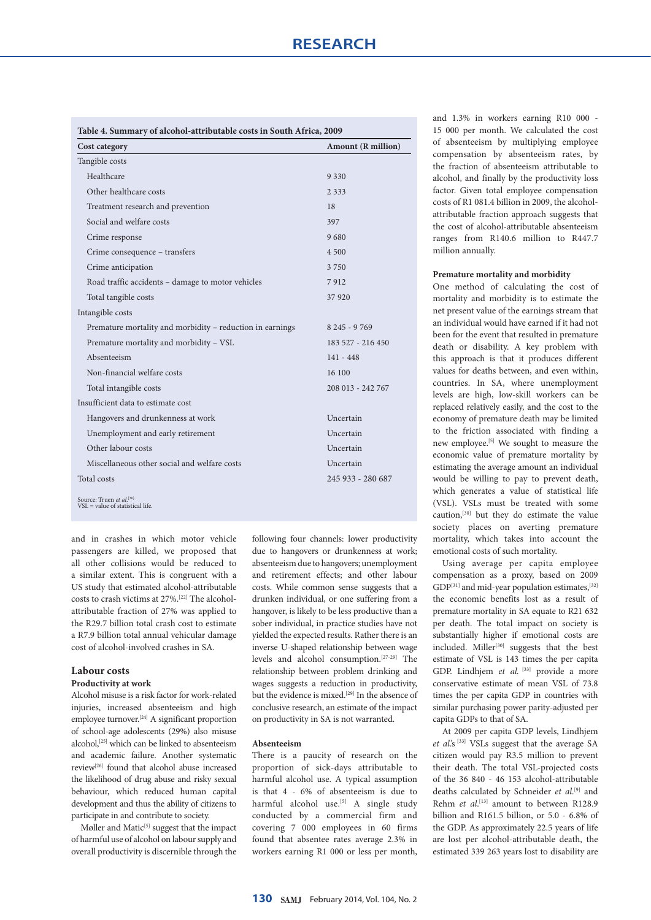| Cost category                                             | <b>Amount (R million)</b> |  |  |
|-----------------------------------------------------------|---------------------------|--|--|
| Tangible costs                                            |                           |  |  |
| Healthcare                                                | 9 3 3 0                   |  |  |
| Other healthcare costs                                    | 2 3 3 3                   |  |  |
| Treatment research and prevention                         | 18                        |  |  |
| Social and welfare costs                                  | 397                       |  |  |
| Crime response                                            | 9680                      |  |  |
| Crime consequence – transfers                             | 4 500                     |  |  |
| Crime anticipation                                        | 3 7 5 0                   |  |  |
| Road traffic accidents – damage to motor vehicles         | 7912                      |  |  |
| Total tangible costs                                      | 37920                     |  |  |
| Intangible costs                                          |                           |  |  |
| Premature mortality and morbidity – reduction in earnings | 8 245 - 9 769             |  |  |
| Premature mortality and morbidity - VSL                   | 183 527 - 216 450         |  |  |
| Absenteeism                                               | $141 - 448$               |  |  |
| Non-financial welfare costs                               | 16 100                    |  |  |
| Total intangible costs                                    | 208 013 - 242 767         |  |  |
| Insufficient data to estimate cost                        |                           |  |  |
| Hangovers and drunkenness at work                         | Uncertain                 |  |  |
| Unemployment and early retirement                         | Uncertain                 |  |  |
| Other labour costs                                        | Uncertain                 |  |  |
| Miscellaneous other social and welfare costs              | Uncertain                 |  |  |
| Total costs                                               | 245 933 - 280 687         |  |  |

and in crashes in which motor vehicle passengers are killed, we proposed that all other collisions would be reduced to a similar extent. This is congruent with a US study that estimated alcohol-attributable costs to crash victims at 27%.[22] The alcoholattributable fraction of 27% was applied to the R29.7 billion total crash cost to estimate a R7.9 billion total annual vehicular damage cost of alcohol-involved crashes in SA.

## **Labour costs**

#### **Productivity at work**

Alcohol misuse is a risk factor for work-related injuries, increased absenteeism and high employee turnover.[24] A significant proportion of school-age adolescents (29%) also misuse alcohol,[25] which can be linked to absenteeism and academic failure. Another systematic review[26] found that alcohol abuse increased the likelihood of drug abuse and risky sexual behaviour, which reduced human capital development and thus the ability of citizens to participate in and contribute to society.

Møller and Matic<sup>[5]</sup> suggest that the impact of harmful use of alcohol on labour supply and overall productivity is discernible through the

following four channels: lower productivity due to hangovers or drunkenness at work; absenteeism due to hangovers; unemployment and retirement effects; and other labour costs. While common sense suggests that a drunken individual, or one suffering from a hangover, is likely to be less productive than a sober individual, in practice studies have not yielded the expected results. Rather there is an inverse U-shaped relationship between wage levels and alcohol consumption.[27-29] The relationship between problem drinking and wages suggests a reduction in productivity, but the evidence is mixed.<sup>[29]</sup> In the absence of conclusive research, an estimate of the impact on productivity in SA is not warranted.

#### **Absenteeism**

There is a paucity of research on the proportion of sick-days attributable to harmful alcohol use. A typical assumption is that 4 - 6% of absenteeism is due to harmful alcohol use.<sup>[5]</sup> A single study conducted by a commercial firm and covering 7 000 employees in 60 firms found that absentee rates average 2.3% in workers earning R1 000 or less per month, and 1.3% in workers earning R10 000 - 15 000 per month. We calculated the cost of absenteeism by multiplying employee compensation by absenteeism rates, by the fraction of absenteeism attributable to alcohol, and finally by the productivity loss factor. Given total employee compensation costs of R1 081.4 billion in 2009, the alcoholattributable fraction approach suggests that the cost of alcohol-attributable absenteeism ranges from R140.6 million to R447.7 million annually.

#### **Premature mortality and morbidity**

One method of calculating the cost of mortality and morbidity is to estimate the net present value of the earnings stream that an individual would have earned if it had not been for the event that resulted in premature death or disability. A key problem with this approach is that it produces different values for deaths between, and even within, countries. In SA, where unemployment levels are high, low-skill workers can be replaced relatively easily, and the cost to the economy of premature death may be limited to the friction associated with finding a new employee.<sup>[5]</sup> We sought to measure the economic value of premature mortality by estimating the average amount an individual would be willing to pay to prevent death, which generates a value of statistical life (VSL). VSLs must be treated with some caution,[30] but they do estimate the value society places on averting premature mortality, which takes into account the emotional costs of such mortality.

Using average per capita employee compensation as a proxy, based on 2009 GDP<sup>[31]</sup> and mid-year population estimates, <sup>[32]</sup> the economic benefits lost as a result of premature mortality in SA equate to R21 632 per death. The total impact on society is substantially higher if emotional costs are included. Miller<sup>[30]</sup> suggests that the best estimate of VSL is 143 times the per capita GDP. Lindhjem et al. [33] provide a more conservative estimate of mean VSL of 73.8 times the per capita GDP in countries with similar purchasing power parity-adjusted per capita GDPs to that of SA.

At 2009 per capita GDP levels, Lindhjem et al'.s<sup>[33]</sup> VSLs suggest that the average SA citizen would pay R3.5 million to prevent their death. The total VSL-projected costs of the 36 840 - 46 153 alcohol-attributable deaths calculated by Schneider *et al*. [9] and Rehm *et al.*<sup>[13]</sup> amount to between R128.9 billion and R161.5 billion, or 5.0 - 6.8% of the GDP. As approximately 22.5 years of life are lost per alcohol-attributable death, the estimated 339 263 years lost to disability are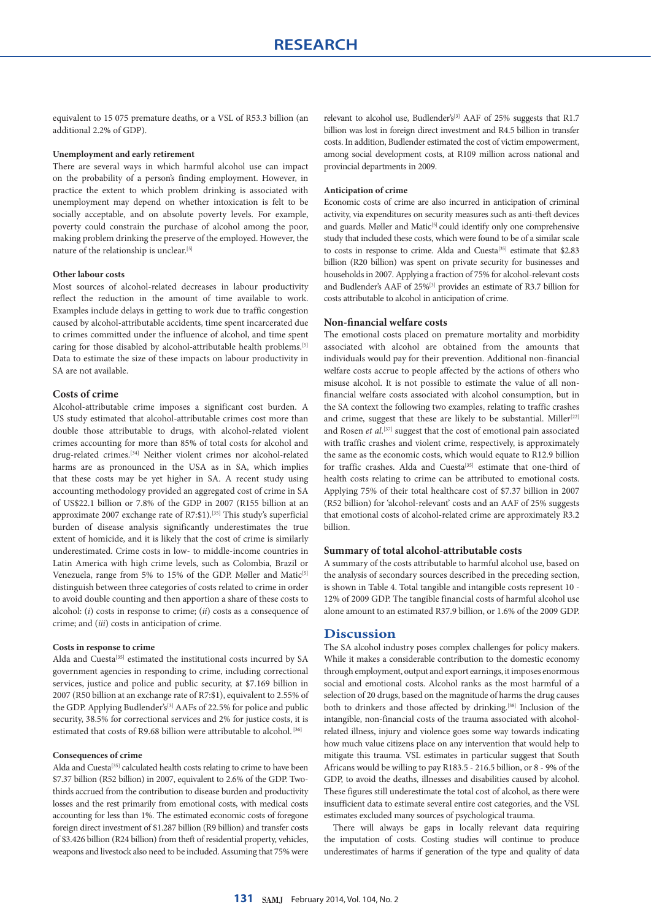equivalent to 15 075 premature deaths, or a VSL of R53.3 billion (an additional 2.2% of GDP).

## **Unemployment and early retirement**

There are several ways in which harmful alcohol use can impact on the probability of a person's finding employment. However, in practice the extent to which problem drinking is associated with unemployment may depend on whether intoxication is felt to be socially acceptable, and on absolute poverty levels. For example, poverty could constrain the purchase of alcohol among the poor, making problem drinking the preserve of the employed. However, the nature of the relationship is unclear.<sup>[5]</sup>

#### **Other labour costs**

Most sources of alcohol-related decreases in labour productivity reflect the reduction in the amount of time available to work. Examples include delays in getting to work due to traffic congestion caused by alcohol-attributable accidents, time spent incarcerated due to crimes committed under the influence of alcohol, and time spent caring for those disabled by alcohol-attributable health problems.[5] Data to estimate the size of these impacts on labour productivity in SA are not available.

#### **Costs of crime**

Alcohol-attributable crime imposes a significant cost burden. A US study estimated that alcohol-attributable crimes cost more than double those attributable to drugs, with alcohol-related violent crimes accounting for more than 85% of total costs for alcohol and drug-related crimes.[34] Neither violent crimes nor alcohol-related harms are as pronounced in the USA as in SA, which implies that these costs may be yet higher in SA. A recent study using accounting methodology provided an aggregated cost of crime in SA of US\$22.1 billion or 7.8% of the GDP in 2007 (R155 billion at an approximate 2007 exchange rate of R7:\$1).[35] This study's superficial burden of disease analysis significantly underestimates the true extent of homicide, and it is likely that the cost of crime is similarly underestimated. Crime costs in low- to middle-income countries in Latin America with high crime levels, such as Colombia, Brazil or Venezuela, range from 5% to 15% of the GDP. Møller and Matic<sup>[5]</sup> distinguish between three categories of costs related to crime in order to avoid double counting and then apportion a share of these costs to alcohol: (*i*) costs in response to crime; (*ii*) costs as a consequence of crime; and (*iii*) costs in anticipation of crime.

#### **Costs in response to crime**

Alda and Cuesta<sup>[35]</sup> estimated the institutional costs incurred by SA government agencies in responding to crime, including correctional services, justice and police and public security, at \$7.169 billion in 2007 (R50 billion at an exchange rate of R7:\$1), equivalent to 2.55% of the GDP. Applying Budlender's<sup>[3]</sup> AAFs of 22.5% for police and public security, 38.5% for correctional services and 2% for justice costs, it is estimated that costs of R9.68 billion were attributable to alcohol.<sup>[36]</sup>

#### **Consequences of crime**

Alda and Cuesta<sup>[35]</sup> calculated health costs relating to crime to have been \$7.37 billion (R52 billion) in 2007, equivalent to 2.6% of the GDP. Twothirds accrued from the contribution to disease burden and productivity losses and the rest primarily from emotional costs, with medical costs accounting for less than 1%. The estimated economic costs of foregone foreign direct investment of \$1.287 billion (R9 billion) and transfer costs of \$3.426 billion (R24 billion) from theft of residential property, vehicles, weapons and livestock also need to be included. Assuming that 75% were

relevant to alcohol use, Budlender's<sup>[3]</sup> AAF of 25% suggests that R1.7 billion was lost in foreign direct investment and R4.5 billion in transfer costs. In addition, Budlender estimated the cost of victim empowerment, among social development costs, at R109 million across national and provincial departments in 2009.

#### **Anticipation of crime**

Economic costs of crime are also incurred in anticipation of criminal activity, via expenditures on security measures such as anti-theft devices and guards. Møller and Matic<sup>[5]</sup> could identify only one comprehensive study that included these costs, which were found to be of a similar scale to costs in response to crime. Alda and Cuesta<sup>[35]</sup> estimate that \$2.83 billion (R20 billion) was spent on private security for businesses and households in 2007. Applying a fraction of 75% for alcohol-relevant costs and Budlender's AAF of 25%<sup>[3]</sup> provides an estimate of R3.7 billion for costs attributable to alcohol in anticipation of crime.

## **Non-financial welfare costs**

The emotional costs placed on premature mortality and morbidity associated with alcohol are obtained from the amounts that individuals would pay for their prevention. Additional non-financial welfare costs accrue to people affected by the actions of others who misuse alcohol. It is not possible to estimate the value of all nonfinancial welfare costs associated with alcohol consumption, but in the SA context the following two examples, relating to traffic crashes and crime, suggest that these are likely to be substantial. Miller<sup>[22]</sup> and Rosen *et al.*<sup>[37]</sup> suggest that the cost of emotional pain associated with traffic crashes and violent crime, respectively, is approximately the same as the economic costs, which would equate to R12.9 billion for traffic crashes. Alda and Cuesta<sup>[35]</sup> estimate that one-third of health costs relating to crime can be attributed to emotional costs. Applying 75% of their total healthcare cost of \$7.37 billion in 2007 (R52 billion) for 'alcohol-relevant' costs and an AAF of 25% suggests that emotional costs of alcohol-related crime are approximately R3.2 billion.

#### **Summary of total alcohol-attributable costs**

A summary of the costs attributable to harmful alcohol use, based on the analysis of secondary sources described in the preceding section, is shown in Table 4. Total tangible and intangible costs represent 10 - 12% of 2009 GDP. The tangible financial costs of harmful alcohol use alone amount to an estimated R37.9 billion, or 1.6% of the 2009 GDP.

# **Discussion**

The SA alcohol industry poses complex challenges for policy makers. While it makes a considerable contribution to the domestic economy through employment, output and export earnings, it imposes enormous social and emotional costs. Alcohol ranks as the most harmful of a selection of 20 drugs, based on the magnitude of harms the drug causes both to drinkers and those affected by drinking.<sup>[38]</sup> Inclusion of the intangible, non-financial costs of the trauma associated with alcoholrelated illness, injury and violence goes some way towards indicating how much value citizens place on any intervention that would help to mitigate this trauma. VSL estimates in particular suggest that South Africans would be willing to pay R183.5 - 216.5 billion, or 8 - 9% of the GDP, to avoid the deaths, illnesses and disabilities caused by alcohol. These figures still underestimate the total cost of alcohol, as there were insufficient data to estimate several entire cost categories, and the VSL estimates excluded many sources of psychological trauma.

There will always be gaps in locally relevant data requiring the imputation of costs. Costing studies will continue to produce underestimates of harms if generation of the type and quality of data